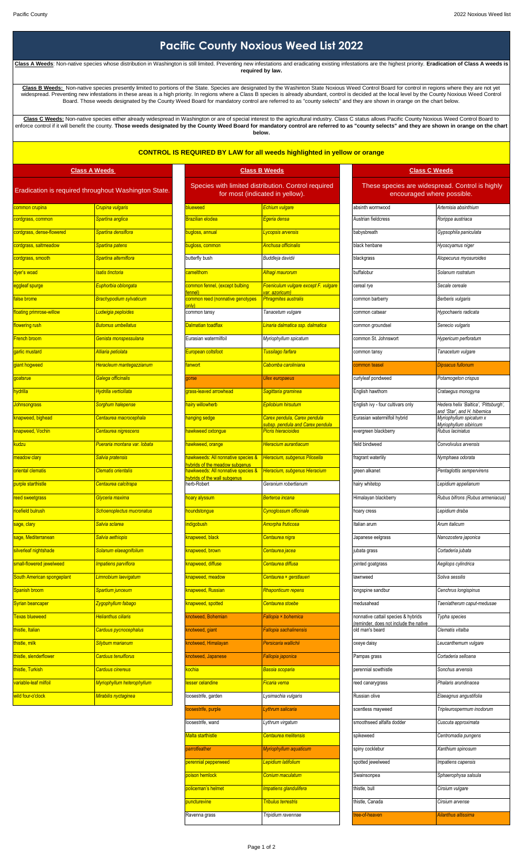## **Pacific County Noxious Weed List 2022**

**Class A Weeds**: Non-native species whose distribution in Washington is still limited. Preventing new infestations and eradicating existing infestations are the highest priority. **Eradication of Class A weeds is required by law.** 

Class B Weeds: Non-native species presently limited to portions of the State. Species are designated by the Washinton State Noxious Weed Control Board for control in regions where they are not yet widespread. Preventing ne

**Class C Weeds:** Non-native species either already widespread in Washington or are of special interest to the agricultural industry. Class C status allows Pacific County Noxious Weed Control Board to enforce control if it will benefit the county. Those weeds designated by the County Weed Board for mandatory control are referred to as "county selects" and they are shown in orange on the chart **below.** 

## **CONTROL IS REQUIRED BY LAW for all weeds highlighted in yellow or orange**

| <b>Class A Weeds</b>                                 |                                           | <b>Class B Weeds</b>                                               |                                                                                        | <b>Class C Weeds</b>                                                          |                                                                               |  |
|------------------------------------------------------|-------------------------------------------|--------------------------------------------------------------------|----------------------------------------------------------------------------------------|-------------------------------------------------------------------------------|-------------------------------------------------------------------------------|--|
| Eradication is required throughout Washington State. |                                           |                                                                    | Species with limited distribution. Control required<br>for most (indicated in yellow). |                                                                               | These species are widespread. Control is highly<br>encouraged where possible. |  |
| common crupina                                       | <mark>Crupina vulgaris</mark>             | blueweed                                                           | Echium vulgare                                                                         | absinth wormwood                                                              | Artemisia absinthium                                                          |  |
| cordgrass, common                                    | Spartina anglica                          | Brazilian elodea                                                   | Egeria densa                                                                           | Austrian fieldcress                                                           | Rorippa austriaca                                                             |  |
| cordgrass, dense-flowered                            | Spartina densiflora                       | <b>ougloss</b> , annual                                            | Lycopsis arvensis                                                                      | babysbreath                                                                   | Gypsophila paniculata                                                         |  |
| cordgrass, saltmeadow                                | Spartina patens                           | pugloss, common                                                    | Anchusa officinalis                                                                    | black henbane                                                                 | Hyoscyamus niger                                                              |  |
| cordgrass, smooth                                    | Spartina alterniflora                     | butterfly bush                                                     | Buddleja davidii                                                                       | blackgrass                                                                    | Alopecurus myosuroides                                                        |  |
| dyer's woad                                          | satis tinctoria                           | amelthorn:                                                         | <mark>Alhagi maurorum</mark>                                                           | buffalobur                                                                    | Solanum rostratum                                                             |  |
| eggleaf spurge                                       | Euphorbia oblongata                       | common fennel, (except bulbing                                     | Foeniculum vulgare except F. vulgare                                                   | cereal rye                                                                    | Secale cereale                                                                |  |
| false brome                                          | Brachypodium sylvaticum                   | ennel)<br>common reed (nonnative genotypes                         | <mark>ar. azoricum)</mark><br>Phragmites australis                                     | common barberry                                                               | Berberis vulgaris                                                             |  |
| floating primrose-willow                             | Ludwigia peploides                        | $n v\rangle$<br>common tansy                                       | Tanacetum vulgare                                                                      | common catsear                                                                | Hypochaeris radicata                                                          |  |
| flowering rush                                       | <b>Butomus umbellatus</b>                 | Dalmatian toadflax                                                 | Linaria dalmatica ssp. dalmatica                                                       | common groundsel                                                              | Senecio vulgaris                                                              |  |
| <b>French broom</b>                                  | Genista monspessulana                     | Eurasian watermilfoil                                              | Myriophyllum spicatum                                                                  | common St. Johnswort                                                          | Hypericum perforatum                                                          |  |
| garlic mustard                                       | Alliaria petiolata                        | European coltsfoot                                                 | <mark>Tussilago farfara</mark>                                                         | common tansy                                                                  | Tanacetum vulgare                                                             |  |
| giant hogweed                                        | Heracleum mantegazzianum                  | <b>fanwort</b>                                                     | Cabomba caroliniana                                                                    | common teasel                                                                 | Dipsacus fullonum                                                             |  |
| goatsrue                                             | Galega officinalis                        | gorse                                                              | Ulex europaeus                                                                         | curlyleaf pondweed                                                            | Potamogeton crispus                                                           |  |
| hydrilla                                             | Hydrilla verticillata                     | grass-leaved arrowhead                                             | Sagittaria graminea                                                                    | English hawthorn                                                              | Crataegus monogyna                                                            |  |
| <b>Johnsongrass</b>                                  | Sorghum halepense                         | airy willowherb                                                    | Epilobium hirsutum                                                                     | English ivy - four cultivars only                                             | Hedera helix 'Baltica', 'Pittsburgh',<br>and 'Star', and H. hibernica         |  |
| knapweed, bighead                                    | Centaurea macrocephala                    | anging sedge                                                       | Carex pendula, Carex pendula<br>subsp. pendula and Carex pendula                       | Eurasian watermilfoil hybrid                                                  | Myriophyllum spicatum x<br>Myriophyllum sibiricum                             |  |
| knapweed, Vochin                                     | Centaurea nigrescens                      | awkweed oxtongue                                                   | Picris hieracioides                                                                    | evergreen blackberry                                                          | Rubus laciniatus                                                              |  |
| kudzu                                                | <mark>Pueraria montana var. lobata</mark> | awkweed, orange                                                    | Hieracium aurantiacum                                                                  | field bindweed                                                                | Convolvulus arvensis                                                          |  |
| meadow clary                                         | Salvia pratensis                          | awkweeds: All nonnative species &<br>vbrids of the meadow subgenus | Hieracium, subgenus Pilosella                                                          | fragrant waterlily                                                            | Nymphaea odorata                                                              |  |
| oriental clematis                                    | Clematis orientalis                       | awkweeds: All nonnative species &<br>lybrids of the wall subgenus  | Hieracium, subgenus Hieracium                                                          | green alkanet                                                                 | Pentaglottis sempervirens                                                     |  |
| purple starthistle                                   | Centaurea calcitrapa                      | herb-Robert                                                        | Geranium robertianum                                                                   | hairy whitetop                                                                | Lepidium appelianum                                                           |  |
| reed sweetgrass                                      | Glyceria maxima                           | loary alyssum                                                      | Berteroa incana                                                                        | Himalayan blackberry                                                          | Rubus bifrons (Rubus armeniacus)                                              |  |
| ricefield bulrush                                    | Schoenoplectus mucronatus                 | noundstongue                                                       | Cynoglossum officinale                                                                 | hoary cress                                                                   | Lepidium draba                                                                |  |
| sage, clary                                          | <mark>Salvia sclarea</mark>               | ndigobush                                                          | <mark>Amorpha fruticosa</mark>                                                         | Italian arum                                                                  | Arum italicum                                                                 |  |
| sage, Mediterranean                                  | Salvia aethiopis                          | napweed, black                                                     | Centaurea nigra                                                                        | Japanese eelgrass                                                             | Nanozostera japonica                                                          |  |
| silverleaf nightshade                                | Solanum elaeagnifolium                    | knapweed, brown                                                    | Centaurea jacea                                                                        | jubata grass                                                                  | Cortaderia jubata                                                             |  |
| small-flowered jewelweed                             | <b>Impatiens parviflora</b>               | napweed, diffuse                                                   | Centaurea diffusa                                                                      | jointed goatgrass                                                             | Aegilops cylindrica                                                           |  |
| South American spongeplant                           | Limnobium laevigatum                      | napweed, meadow                                                    | Centaurea × gerstlaueri                                                                | lawnweed                                                                      | Soliva sessilis                                                               |  |
| Spanish broom                                        | <mark>Spartium junceum</mark>             | napweed, Russian                                                   | Rhaponticum repens                                                                     | ongspine sandbur                                                              | Cenchrus longispinus                                                          |  |
| Syrian beancaper                                     | Vgophyllum fabago                         | napweed, spotted                                                   | Centaurea stoebe                                                                       | medusahead                                                                    | Taeniatherum caput-medusae                                                    |  |
| <b>Texas blueweed</b>                                | Helianthus ciliaris                       | notweed, Bohemian                                                  | Fallopia × bohemica                                                                    | nonnative cattail species & hybrids<br>(reminder, does not include the native | Typha species                                                                 |  |
| thistle, Italian                                     | Carduus pycnocephalus                     | notweed, giant                                                     | Fallopia sachalinensis                                                                 | old man's beard                                                               | Clematis vitalba                                                              |  |
| thistle, milk                                        | Silybum marianum                          | <b>notweed, Himalayan</b>                                          | Persicaria wallichii                                                                   | oxeye daisy                                                                   | Leucanthemum vulgare                                                          |  |
| thistle, slenderflower                               | Carduus tenuiflorus                       | notweed, Japanese                                                  | Fallopia japonica                                                                      | Pampas grass                                                                  | Cortaderia selloana                                                           |  |
| thistle, Turkish                                     | <mark>Carduus cinereus</mark>             | ochia                                                              | <mark>Bassia scoparia</mark>                                                           | perennial sowthistle                                                          | Sonchus arvensis                                                              |  |
| variable-leaf milfoil                                | Myriophyllum heterophyllum                | esser celandine                                                    | Ficaria verna                                                                          | reed canarygrass                                                              | Phalaris arundinacea                                                          |  |
| wild four-o'clock                                    | Mirabilis nyctaginea                      | loosestrife, garden                                                | ysimachia vulgaris                                                                     | Russian olive                                                                 | Elaeagnus angustifolia                                                        |  |

|                                                                      | Species with limited distribution. Control required<br>for most (indicated in yellow). | These species are widespread. Control is hig<br>encouraged where possible. |                                                                 |
|----------------------------------------------------------------------|----------------------------------------------------------------------------------------|----------------------------------------------------------------------------|-----------------------------------------------------------------|
| blueweed                                                             | Echium vulgare                                                                         | absinth wormwood                                                           | Artemisia absinthium                                            |
| Brazilian elodea                                                     | Egeria densa                                                                           | Austrian fieldcress                                                        | Rorippa austriaca                                               |
| bugloss, annual                                                      | Lycopsis arvensis                                                                      | babysbreath                                                                | Gypsophila paniculata                                           |
| bugloss, common                                                      | <b>Anchusa officinalis</b>                                                             | black henbane                                                              | Hyoscyamus niger                                                |
| butterfly bush                                                       | Buddleja davidii                                                                       | blackgrass                                                                 | Alopecurus myosuroides                                          |
| camelthorn                                                           | Alhagi maurorum                                                                        | buffalobur                                                                 | Solanum rostratum                                               |
| common fennel, (except bulbing<br>fennel)                            | Foeniculum vulgare except F. vulgare<br>var. azoricum)                                 | cereal rye                                                                 | Secale cereale                                                  |
| common reed (nonnative genotypes<br>onlv)                            | <b>Phragmites australis</b>                                                            | common barberry                                                            | Berberis vulgaris                                               |
| common tansy                                                         | Tanacetum vulgare                                                                      | common catsear                                                             | Hypochaeris radicata                                            |
| Dalmatian toadflax                                                   | Linaria dalmatica ssp. dalmatica                                                       | common groundsel                                                           | Senecio vulgaris                                                |
| Eurasian watermilfoil                                                | Myriophyllum spicatum                                                                  | common St. Johnswort                                                       | Hypericum perforatum                                            |
| European coltsfoot                                                   | Tussilago farfara                                                                      | common tansy                                                               | Tanacetum vulgare                                               |
| <b>fanwort</b>                                                       | Cabomba caroliniana                                                                    | common teasel                                                              | Dipsacus fullonum                                               |
| gorse                                                                | Ulex europaeus                                                                         | curlyleaf pondweed                                                         | Potamogeton crispus                                             |
| grass-leaved arrowhead                                               | Sagittaria graminea                                                                    | English hawthorn                                                           | Crataegus monogyna                                              |
| hairy willowherb                                                     | Epilobium hirsutum                                                                     | English ivy - four cultivars only                                          | Hedera helix 'Baltica', 'Pittsb<br>and 'Star', and H. hibernica |
| hanging sedge                                                        | Carex pendula, Carex pendula<br>subsp. pendula and Carex pendula                       | Eurasian watermilfoil hybrid                                               | Myriophyllum spicatum x<br>Myriophyllum sibiricum               |
| hawkweed oxtongue                                                    | Picris hieracioides                                                                    | evergreen blackberry                                                       | Rubus laciniatus                                                |
| hawkweed, orange                                                     | Hieracium aurantiacum                                                                  | field bindweed                                                             | Convolvulus arvensis                                            |
| hawkweeds: All nonnative species &<br>hybrids of the meadow subgenus | Hieracium, subgenus Pilosella                                                          | fragrant waterlily                                                         | Nymphaea odorata                                                |
| hawkweeds: All nonnative species &<br>hybrids of the wall subgenus   | Hieracium, subgenus Hieracium                                                          | green alkanet                                                              | Pentaglottis sempervirens                                       |
| herb-Robert                                                          | Geranium robertianum                                                                   | hairy whitetop                                                             | Lepidium appelianum                                             |
| hoary alyssum                                                        | Berteroa incana                                                                        | Himalayan blackberry                                                       | Rubus bifrons (Rubus armer                                      |
| houndstongue                                                         | Cynoglossum officinale                                                                 | hoary cress                                                                | Lepidium draba                                                  |
| indigobush                                                           | Amorpha fruticosa                                                                      | Italian arum                                                               | Arum italicum                                                   |
| knapweed, black                                                      | Centaurea nigra                                                                        | Japanese eelgrass                                                          | Nanozostera japonica                                            |
| knapweed, brown                                                      | Centaurea jacea                                                                        | jubata grass                                                               | Cortaderia jubata                                               |
| knapweed, diffuse                                                    | Centaurea diffusa                                                                      | jointed goatgrass                                                          | Aegilops cylindrica                                             |
| knapweed, meadow                                                     | Centaurea × gerstlaueri                                                                | lawnweed                                                                   | Soliva sessilis                                                 |
| knapweed, Russian                                                    | Rhaponticum repens                                                                     | longspine sandbur                                                          | Cenchrus longispinus                                            |
| knapweed, spotted                                                    | Centaurea stoebe                                                                       | medusahead                                                                 | Taeniatherum caput-medusa                                       |
| knotweed, Bohemian                                                   | Fallopia × bohemica                                                                    | nonnative cattail species & hybrids                                        | Typha species                                                   |
| knotweed, giant                                                      | Fallopia sachalinensis                                                                 | (reminder, does not include the native<br>old man's beard                  | Clematis vitalba                                                |
| knotweed, Himalayan                                                  | Persicaria wallichii                                                                   | oxeye daisy                                                                | Leucanthemum vulgare                                            |
| knotweed, Japanese                                                   | Fallopia japonica                                                                      | Pampas grass                                                               | Cortaderia selloana                                             |
| kochia                                                               | Bassia scoparia                                                                        | perennial sowthistle                                                       | Sonchus arvensis                                                |
| lesser celandine                                                     | Ficaria verna                                                                          | reed canarygrass                                                           | Phalaris arundinacea                                            |
| loosestrife, garden                                                  | Lysimachia vulgaris                                                                    | Russian olive                                                              | Elaeagnus angustifolia                                          |
| loosestrife, purple                                                  | Lythrum salicaria                                                                      | scentless mayweed                                                          | Tripleurospermum inodorum                                       |
| loosestrife, wand                                                    | Lythrum virgatum                                                                       | smoothseed alfalfa dodder                                                  | Cuscuta approximata                                             |
| Malta starthistle                                                    | Centaurea melitensis                                                                   | spikeweed                                                                  | Centromadia pungens                                             |
| parrotfeather                                                        | Myriophyllum aquaticum                                                                 | spiny cocklebur                                                            | Xanthium spinosum                                               |
| perennial pepperweed                                                 | Lepidium latifolium                                                                    | spotted jewelweed                                                          | Impatiens capensis                                              |
| poison hemlock                                                       | Conium maculatum                                                                       | Swainsonpea                                                                | Sphaerophysa salsula                                            |
| policeman's helmet                                                   | Impatiens glandulifera                                                                 | thistle, bull                                                              | Cirsium vulgare                                                 |
| puncturevine                                                         | <b>Tribulus terrestris</b>                                                             | thistle, Canada                                                            | Cirsium arvense                                                 |
| Ravenna grass                                                        | Tripidium ravennae                                                                     | tree-of-heaven                                                             | Ailanthus altissima                                             |
|                                                                      |                                                                                        |                                                                            |                                                                 |

| <b>Weeds</b>                                            | <b>Class C Weeds</b>                                                          |                                                         |
|---------------------------------------------------------|-------------------------------------------------------------------------------|---------------------------------------------------------|
| ibution. Control required<br>ated in yellow).           | These species are widespread. Control is highly<br>encouraged where possible. |                                                         |
| Echium vulgare                                          | absinth wormwood                                                              | Artemisia absinthium                                    |
| Egeria densa                                            | Austrian fieldcress                                                           | Rorippa austriaca                                       |
| Lycopsis arvensis                                       | babysbreath                                                                   | Gypsophila paniculata                                   |
| Anchusa officinalis                                     | black henbane                                                                 | Hyoscyamus niger                                        |
| Buddleja davidii                                        | blackgrass                                                                    | Alopecurus myosuroides                                  |
| Alhagi maurorum                                         | buffalobur                                                                    | Solanum rostratum                                       |
| Foeniculum vulgare except F. vulgare                    | cereal rye                                                                    | Secale cereale                                          |
| <mark>var. azoricum)</mark><br>Phragmites australis     | common barberry                                                               | Berberis vulgaris                                       |
| Tanacetum vulgare                                       | common catsear                                                                | Hypochaeris radicata                                    |
| Linaria dalmatica ssp. dalmatica                        | common groundsel                                                              | Senecio vulgaris                                        |
| Myriophyllum spicatum                                   | common St. Johnswort                                                          | Hypericum perforatum                                    |
| Tussilago farfara                                       | common tansy                                                                  | Tanacetum vulgare                                       |
| Cabomba caroliniana                                     | common teasel                                                                 | Dipsacus fullonum                                       |
| <b>Ulex europaeus</b>                                   | curlyleaf pondweed                                                            | Potamogeton crispus                                     |
| Sagittaria graminea                                     | English hawthorn                                                              | Crataegus monogyna                                      |
| Epilobium hirsutum                                      | English ivy - four cultivars only                                             | Hedera helix 'Baltica', 'Pittsburgh',                   |
| Carex pendula, Carex pendula                            | Eurasian watermilfoil hybrid                                                  | and 'Star', and H. hibernica<br>Myriophyllum spicatum x |
| subsp. pendula and Carex pendula<br>Picris hieracioides | evergreen blackberry                                                          | Myriophyllum sibiricum<br>Rubus laciniatus              |
| Hieracium aurantiacum                                   | field bindweed                                                                | Convolvulus arvensis                                    |
| Hieracium, subgenus Pilosella                           | fragrant waterlily                                                            | Nymphaea odorata                                        |
| Hieracium, subgenus Hieracium                           | green alkanet                                                                 | Pentaglottis sempervirens                               |
| Geranium robertianum                                    | hairy whitetop                                                                | Lepidium appelianum                                     |
| Berteroa incana                                         | Himalayan blackberry                                                          | Rubus bifrons (Rubus armeniacus)                        |
| Cynoglossum officinale                                  | hoary cress                                                                   | Lepidium draba                                          |
| Amorpha fruticosa                                       | Italian arum                                                                  | Arum italicum                                           |
| Centaurea nigra                                         | Japanese eelgrass                                                             | Nanozostera japonica                                    |
| Centaurea jacea                                         | jubata grass                                                                  | Cortaderia jubata                                       |
| Centaurea diffusa                                       | jointed goatgrass                                                             | Aegilops cylindrica                                     |
| Centaurea × gerstlaueri                                 | lawnweed                                                                      | Soliva sessilis                                         |
| Rhaponticum repens                                      | longspine sandbur                                                             | Cenchrus longispinus                                    |
|                                                         | medusahead                                                                    |                                                         |
| Centaurea stoebe                                        |                                                                               | Taeniatherum caput-medusae                              |
| Fallopia × bohemica                                     | nonnative cattail species & hybrids<br>(reminder, does not include the native | Typha species                                           |
| Fallopia sachalinensis                                  | old man's beard                                                               | Clematis vitalba                                        |
| Persicaria wallichii                                    | oxeye daisy                                                                   | Leucanthemum vulgare                                    |
| Fallopia japonica                                       | Pampas grass                                                                  | Cortaderia selloana                                     |
| <mark>Bassia scoparia</mark>                            | perennial sowthistle                                                          | Sonchus arvensis                                        |
| <mark>Ficaria verna</mark>                              | reed canarygrass                                                              | Phalaris arundinacea                                    |
| Lysimachia vulgaris                                     | Russian olive                                                                 | Elaeagnus angustifolia                                  |
| Lythrum salicaria                                       | scentless mayweed                                                             | Tripleurospermum inodorum                               |
| Lythrum virgatum                                        | smoothseed alfalfa dodder                                                     | Cuscuta approximata                                     |
| Centaurea melitensis                                    | spikeweed                                                                     | Centromadia pungens                                     |
| Myriophyllum aquaticum                                  | spiny cocklebur                                                               | Xanthium spinosum                                       |
| Lepidium latifolium                                     | spotted jewelweed                                                             | Impatiens capensis                                      |
| Conium maculatum                                        | Swainsonpea                                                                   | Sphaerophysa salsula                                    |
| Impatiens glandulifera                                  | thistle, bull                                                                 | Cirsium vulgare                                         |
| <b>Tribulus terrestris</b>                              | thistle, Canada                                                               | Cirsium arvense                                         |
| Tripidium ravennae                                      | tree-of-heaven                                                                | Ailanthus altissima                                     |
|                                                         |                                                                               |                                                         |